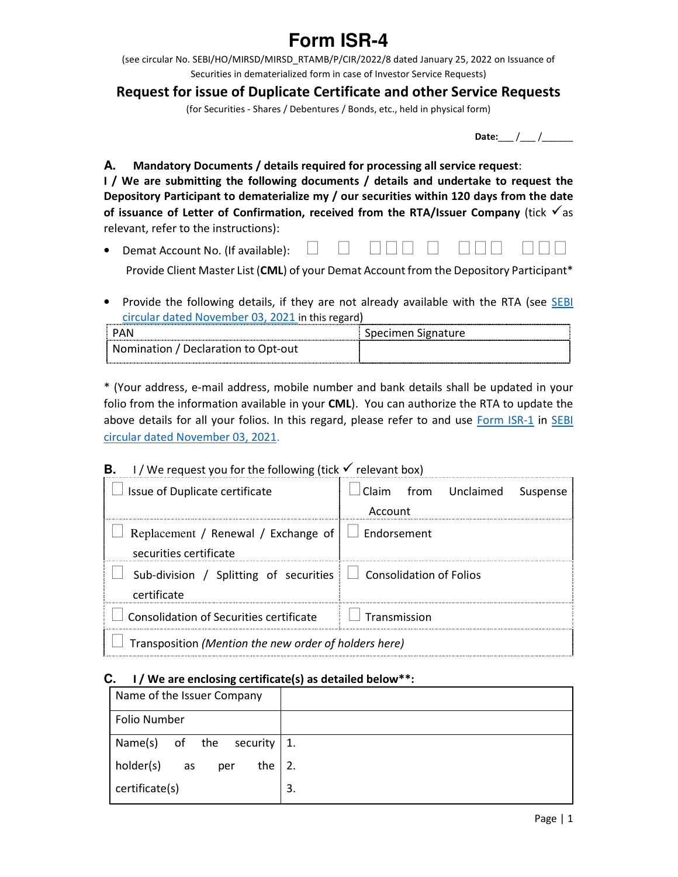# **Form ISR-4**

(see circular No. SEBI/HO/MIRSD/MIRSD\_RTAMB/P/CIR/2022/8 dated January 25, 2022 on Issuance of Securities in dematerialized form in case of Investor Service Requests)

## **Request for issue of Duplicate Certificate and other Service Requests**

(for Securities - Shares / Debentures / Bonds, etc., held in physical form)

**Date:** / /

**A. Mandatory Documents / details required for processing all service request**:

**I / We are submitting the following documents / details and undertake to request the Depository Participant to dematerialize my / our securities within 120 days from the date**  of issuance of Letter of Confirmation, received from the RTA/Issuer Company (tick  $\checkmark$  as relevant, refer to the instructions):

- Demat Account No. (If available):  $\Box$  $\Box$ - 1990<br>- 1990 - 1990<br>- 1990 - 1990 - 1990 - 1990 - 1990 - 1990 - 1990 - 1990 - 1990 - 1990 - 1990 - 1990 - 1990 - 1990 - 1990 - 19 -Provide Client Master List (**CML**) of your Demat Account from the Depository Participant\*
- Provide the following details, if they are not already available with the RTA (see SEBI circular dated November 03, 2021 in this regard)

| <b>PAN</b>                          | Specimen Signature |
|-------------------------------------|--------------------|
| Nomination / Declaration to Opt-out |                    |

\* (Your address, e-mail address, mobile number and bank details shall be updated in your folio from the information available in your **CML**). You can authorize the RTA to update the above details for all your folios. In this regard, please refer to and use Form ISR-1 in SEBI circular dated November 03, 2021.

## **B.** I / We request you for the following (tick  $\checkmark$  relevant box)

| Issue of Duplicate certificate                                                       | Claim from Unclaimed Suspense<br>Account |  |  |  |
|--------------------------------------------------------------------------------------|------------------------------------------|--|--|--|
| Replacement / Renewal / Exchange of $\Box$ Endorsement<br>securities certificate     |                                          |  |  |  |
| Sub-division / Splitting of securities $\Box$ Consolidation of Folios<br>certificate |                                          |  |  |  |
| Consolidation of Securities certificate                                              | $\Box$ Transmission                      |  |  |  |
| Transposition (Mention the new order of holders here)                                |                                          |  |  |  |

#### **C. I / We are enclosing certificate(s) as detailed below\*\*:**

| Name of the Issuer Company             |    |
|----------------------------------------|----|
| Folio Number                           |    |
| Name(s) of the<br>security $\vert 1$ . |    |
| holder(s)<br>the<br>as<br>per          | 2. |
| certificate(s)                         | 3. |